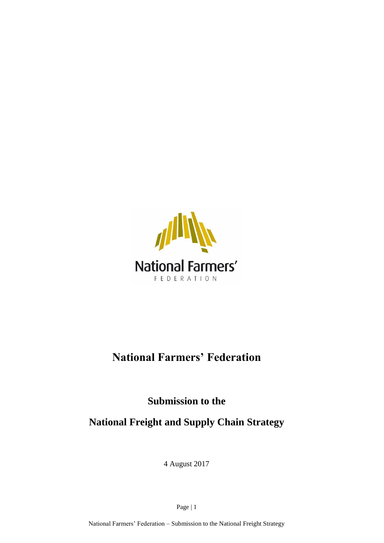

## **National Farmers' Federation**

**Submission to the**

**National Freight and Supply Chain Strategy**

4 August 2017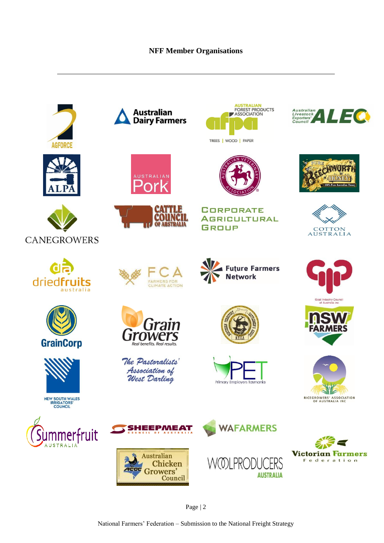#### **NFF Member Organisations**



Page | 2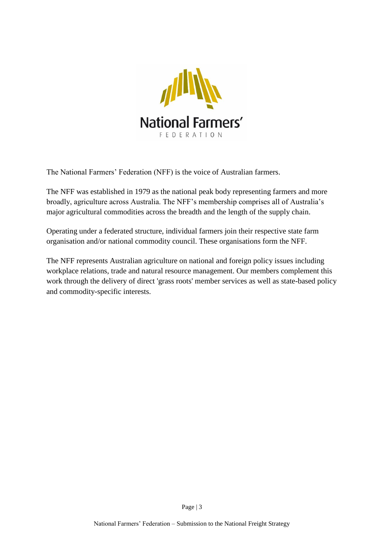

The National Farmers' Federation (NFF) is the voice of Australian farmers.

The NFF was established in 1979 as the national peak body representing farmers and more broadly, agriculture across Australia. The NFF's membership comprises all of Australia's major agricultural commodities across the breadth and the length of the supply chain.

Operating under a federated structure, individual farmers join their respective state farm organisation and/or national commodity council. These organisations form the NFF.

The NFF represents Australian agriculture on national and foreign policy issues including workplace relations, trade and natural resource management. Our members complement this work through the delivery of direct 'grass roots' member services as well as state-based policy and commodity-specific interests.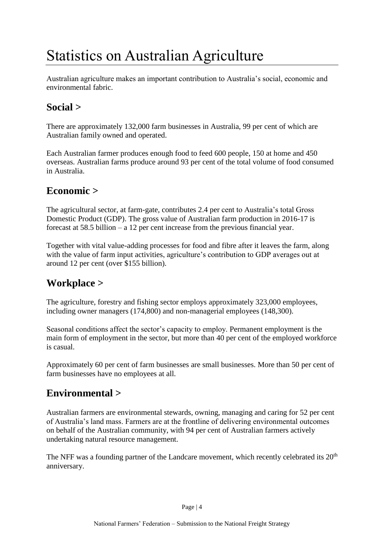# <span id="page-3-0"></span>Statistics on Australian Agriculture

Australian agriculture makes an important contribution to Australia's social, economic and environmental fabric.

## **Social >**

There are approximately 132,000 farm businesses in Australia, 99 per cent of which are Australian family owned and operated.

Each Australian farmer produces enough food to feed 600 people, 150 at home and 450 overseas. Australian farms produce around 93 per cent of the total volume of food consumed in Australia.

#### **Economic >**

The agricultural sector, at farm-gate, contributes 2.4 per cent to Australia's total Gross Domestic Product (GDP). The gross value of Australian farm production in 2016-17 is forecast at 58.5 billion – a 12 per cent increase from the previous financial year.

Together with vital value-adding processes for food and fibre after it leaves the farm, along with the value of farm input activities, agriculture's contribution to GDP averages out at around 12 per cent (over \$155 billion).

### **Workplace >**

The agriculture, forestry and fishing sector employs approximately 323,000 employees, including owner managers (174,800) and non-managerial employees (148,300).

Seasonal conditions affect the sector's capacity to employ. Permanent employment is the main form of employment in the sector, but more than 40 per cent of the employed workforce is casual.

Approximately 60 per cent of farm businesses are small businesses. More than 50 per cent of farm businesses have no employees at all.

## **Environmental >**

Australian farmers are environmental stewards, owning, managing and caring for 52 per cent of Australia's land mass. Farmers are at the frontline of delivering environmental outcomes on behalf of the Australian community, with 94 per cent of Australian farmers actively undertaking natural resource management.

The NFF was a founding partner of the Landcare movement, which recently celebrated its  $20<sup>th</sup>$ anniversary.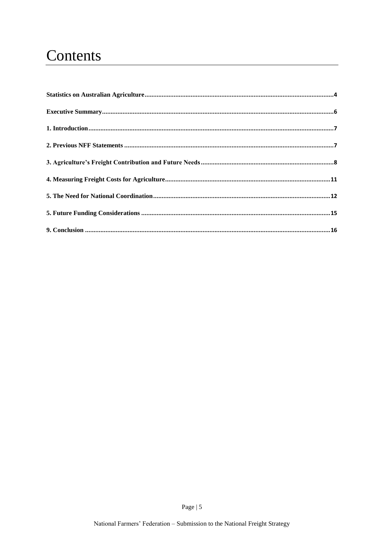## Contents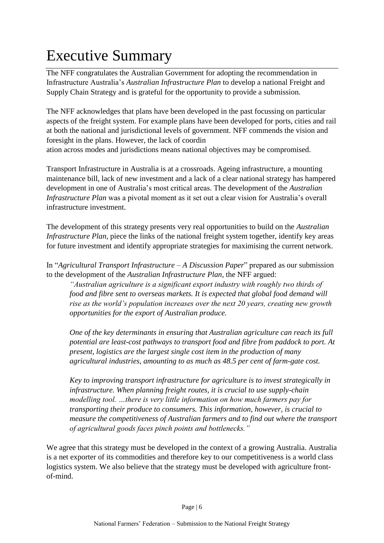# <span id="page-5-0"></span>Executive Summary

The NFF congratulates the Australian Government for adopting the recommendation in Infrastructure Australia's *Australian Infrastructure Plan* to develop a national Freight and Supply Chain Strategy and is grateful for the opportunity to provide a submission.

The NFF acknowledges that plans have been developed in the past focussing on particular aspects of the freight system. For example plans have been developed for ports, cities and rail at both the national and jurisdictional levels of government. NFF commends the vision and foresight in the plans. However, the lack of coordin ation across modes and jurisdictions means national objectives may be compromised.

Transport Infrastructure in Australia is at a crossroads. Ageing infrastructure, a mounting maintenance bill, lack of new investment and a lack of a clear national strategy has hampered development in one of Australia's most critical areas. The development of the *Australian Infrastructure Plan* was a pivotal moment as it set out a clear vision for Australia's overall infrastructure investment.

The development of this strategy presents very real opportunities to build on the *Australian Infrastructure Plan*, piece the links of the national freight system together, identify key areas for future investment and identify appropriate strategies for maximising the current network.

In "*Agricultural Transport Infrastructure – A Discussion Paper*" prepared as our submission to the development of the *Australian Infrastructure Plan,* the NFF argued:

*"Australian agriculture is a significant export industry with roughly two thirds of food and fibre sent to overseas markets. It is expected that global food demand will rise as the world's population increases over the next 20 years, creating new growth opportunities for the export of Australian produce.* 

*One of the key determinants in ensuring that Australian agriculture can reach its full potential are least-cost pathways to transport food and fibre from paddock to port. At present, logistics are the largest single cost item in the production of many agricultural industries, amounting to as much as 48.5 per cent of farm-gate cost.* 

*Key to improving transport infrastructure for agriculture is to invest strategically in infrastructure. When planning freight routes, it is crucial to use supply-chain modelling tool. …there is very little information on how much farmers pay for transporting their produce to consumers. This information, however, is crucial to measure the competitiveness of Australian farmers and to find out where the transport of agricultural goods faces pinch points and bottlenecks."*

We agree that this strategy must be developed in the context of a growing Australia. Australia is a net exporter of its commodities and therefore key to our competitiveness is a world class logistics system. We also believe that the strategy must be developed with agriculture frontof-mind.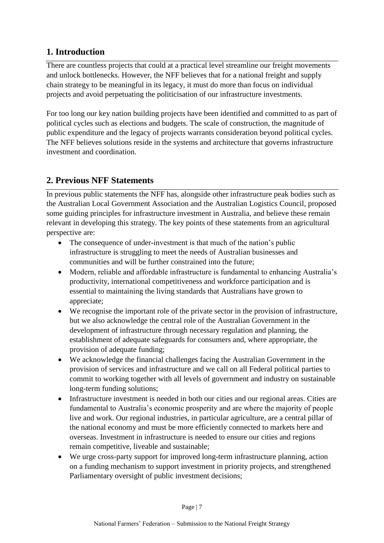#### <span id="page-6-0"></span>**1. Introduction**

There are countless projects that could at a practical level streamline our freight movements and unlock bottlenecks. However, the NFF believes that for a national freight and supply chain strategy to be meaningful in its legacy, it must do more than focus on individual projects and avoid perpetuating the politicisation of our infrastructure investments.

For too long our key nation building projects have been identified and committed to as part of political cycles such as elections and budgets. The scale of construction, the magnitude of public expenditure and the legacy of projects warrants consideration beyond political cycles. The NFF believes solutions reside in the systems and architecture that governs infrastructure investment and coordination.

#### <span id="page-6-1"></span>**2. Previous NFF Statements**

In previous public statements the NFF has, alongside other infrastructure peak bodies such as the Australian Local Government Association and the Australian Logistics Council, proposed some guiding principles for infrastructure investment in Australia, and believe these remain relevant in developing this strategy. The key points of these statements from an agricultural perspective are:

- The consequence of under-investment is that much of the nation's public infrastructure is struggling to meet the needs of Australian businesses and communities and will be further constrained into the future;
- Modern, reliable and affordable infrastructure is fundamental to enhancing Australia's productivity, international competitiveness and workforce participation and is essential to maintaining the living standards that Australians have grown to appreciate;
- We recognise the important role of the private sector in the provision of infrastructure, but we also acknowledge the central role of the Australian Government in the development of infrastructure through necessary regulation and planning, the establishment of adequate safeguards for consumers and, where appropriate, the provision of adequate funding;
- We acknowledge the financial challenges facing the Australian Government in the provision of services and infrastructure and we call on all Federal political parties to commit to working together with all levels of government and industry on sustainable long-term funding solutions;
- Infrastructure investment is needed in both our cities and our regional areas. Cities are fundamental to Australia's economic prosperity and are where the majority of people live and work. Our regional industries, in particular agriculture, are a central pillar of the national economy and must be more efficiently connected to markets here and overseas. Investment in infrastructure is needed to ensure our cities and regions remain competitive, liveable and sustainable;
- We urge cross-party support for improved long-term infrastructure planning, action on a funding mechanism to support investment in priority projects, and strengthened Parliamentary oversight of public investment decisions;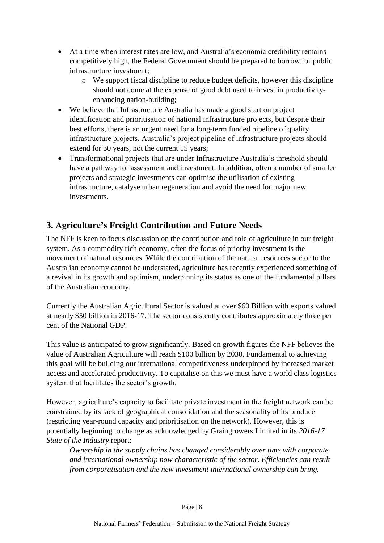- At a time when interest rates are low, and Australia's economic credibility remains competitively high, the Federal Government should be prepared to borrow for public infrastructure investment;
	- o We support fiscal discipline to reduce budget deficits, however this discipline should not come at the expense of good debt used to invest in productivityenhancing nation-building;
- We believe that Infrastructure Australia has made a good start on project identification and prioritisation of national infrastructure projects, but despite their best efforts, there is an urgent need for a long-term funded pipeline of quality infrastructure projects. Australia's project pipeline of infrastructure projects should extend for 30 years, not the current 15 years;
- Transformational projects that are under Infrastructure Australia's threshold should have a pathway for assessment and investment. In addition, often a number of smaller projects and strategic investments can optimise the utilisation of existing infrastructure, catalyse urban regeneration and avoid the need for major new investments.

#### <span id="page-7-0"></span>**3. Agriculture's Freight Contribution and Future Needs**

The NFF is keen to focus discussion on the contribution and role of agriculture in our freight system. As a commodity rich economy, often the focus of priority investment is the movement of natural resources. While the contribution of the natural resources sector to the Australian economy cannot be understated, agriculture has recently experienced something of a revival in its growth and optimism, underpinning its status as one of the fundamental pillars of the Australian economy.

Currently the Australian Agricultural Sector is valued at over \$60 Billion with exports valued at nearly \$50 billion in 2016-17. The sector consistently contributes approximately three per cent of the National GDP.

This value is anticipated to grow significantly. Based on growth figures the NFF believes the value of Australian Agriculture will reach \$100 billion by 2030. Fundamental to achieving this goal will be building our international competitiveness underpinned by increased market access and accelerated productivity. To capitalise on this we must have a world class logistics system that facilitates the sector's growth.

However, agriculture's capacity to facilitate private investment in the freight network can be constrained by its lack of geographical consolidation and the seasonality of its produce (restricting year-round capacity and prioritisation on the network). However, this is potentially beginning to change as acknowledged by Graingrowers Limited in its *2016-17 State of the Industry* report:

*Ownership in the supply chains has changed considerably over time with corporate and international ownership now characteristic of the sector. Efficiencies can result from corporatisation and the new investment international ownership can bring.*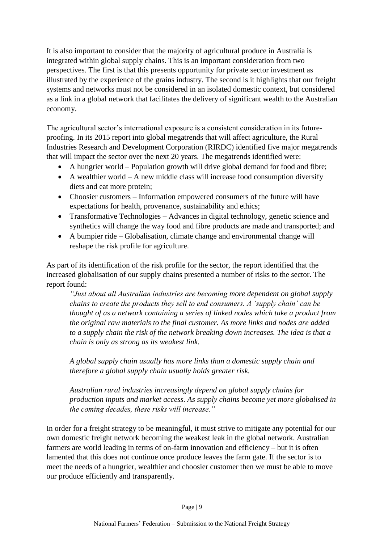It is also important to consider that the majority of agricultural produce in Australia is integrated within global supply chains. This is an important consideration from two perspectives. The first is that this presents opportunity for private sector investment as illustrated by the experience of the grains industry. The second is it highlights that our freight systems and networks must not be considered in an isolated domestic context, but considered as a link in a global network that facilitates the delivery of significant wealth to the Australian economy.

The agricultural sector's international exposure is a consistent consideration in its futureproofing. In its 2015 report into global megatrends that will affect agriculture, the Rural Industries Research and Development Corporation (RIRDC) identified five major megatrends that will impact the sector over the next 20 years. The megatrends identified were:

- A hungrier world Population growth will drive global demand for food and fibre;
- A wealthier world A new middle class will increase food consumption diversify diets and eat more protein;
- Choosier customers Information empowered consumers of the future will have expectations for health, provenance, sustainability and ethics;
- Transformative Technologies Advances in digital technology, genetic science and synthetics will change the way food and fibre products are made and transported; and
- A bumpier ride Globalisation, climate change and environmental change will reshape the risk profile for agriculture.

As part of its identification of the risk profile for the sector, the report identified that the increased globalisation of our supply chains presented a number of risks to the sector. The report found:

*"Just about all Australian industries are becoming more dependent on global supply chains to create the products they sell to end consumers. A 'supply chain' can be thought of as a network containing a series of linked nodes which take a product from the original raw materials to the final customer. As more links and nodes are added to a supply chain the risk of the network breaking down increases. The idea is that a chain is only as strong as its weakest link.* 

*A global supply chain usually has more links than a domestic supply chain and therefore a global supply chain usually holds greater risk.* 

*Australian rural industries increasingly depend on global supply chains for production inputs and market access. As supply chains become yet more globalised in the coming decades, these risks will increase."*

In order for a freight strategy to be meaningful, it must strive to mitigate any potential for our own domestic freight network becoming the weakest leak in the global network. Australian farmers are world leading in terms of on-farm innovation and efficiency – but it is often lamented that this does not continue once produce leaves the farm gate. If the sector is to meet the needs of a hungrier, wealthier and choosier customer then we must be able to move our produce efficiently and transparently.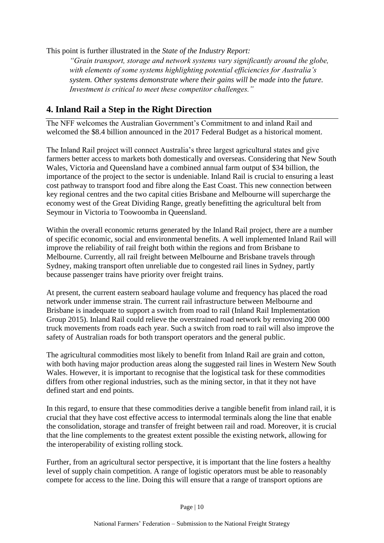This point is further illustrated in the *State of the Industry Report:*

*"Grain transport, storage and network systems vary significantly around the globe, with elements of some systems highlighting potential efficiencies for Australia's system. Other systems demonstrate where their gains will be made into the future. Investment is critical to meet these competitor challenges."*

#### **4. Inland Rail a Step in the Right Direction**

The NFF welcomes the Australian Government's Commitment to and inland Rail and welcomed the \$8.4 billion announced in the 2017 Federal Budget as a historical moment.

The Inland Rail project will connect Australia's three largest agricultural states and give farmers better access to markets both domestically and overseas. Considering that New South Wales, Victoria and Queensland have a combined annual farm output of \$34 billion, the importance of the project to the sector is undeniable. Inland Rail is crucial to ensuring a least cost pathway to transport food and fibre along the East Coast. This new connection between key regional centres and the two capital cities Brisbane and Melbourne will supercharge the economy west of the Great Dividing Range, greatly benefitting the agricultural belt from Seymour in Victoria to Toowoomba in Queensland.

Within the overall economic returns generated by the Inland Rail project, there are a number of specific economic, social and environmental benefits. A well implemented Inland Rail will improve the reliability of rail freight both within the regions and from Brisbane to Melbourne. Currently, all rail freight between Melbourne and Brisbane travels through Sydney, making transport often unreliable due to congested rail lines in Sydney, partly because passenger trains have priority over freight trains.

At present, the current eastern seaboard haulage volume and frequency has placed the road network under immense strain. The current rail infrastructure between Melbourne and Brisbane is inadequate to support a switch from road to rail (Inland Rail Implementation Group 2015). Inland Rail could relieve the overstrained road network by removing 200 000 truck movements from roads each year. Such a switch from road to rail will also improve the safety of Australian roads for both transport operators and the general public.

The agricultural commodities most likely to benefit from Inland Rail are grain and cotton, with both having major production areas along the suggested rail lines in Western New South Wales. However, it is important to recognise that the logistical task for these commodities differs from other regional industries, such as the mining sector, in that it they not have defined start and end points.

In this regard, to ensure that these commodities derive a tangible benefit from inland rail, it is crucial that they have cost effective access to intermodal terminals along the line that enable the consolidation, storage and transfer of freight between rail and road. Moreover, it is crucial that the line complements to the greatest extent possible the existing network, allowing for the interoperability of existing rolling stock.

Further, from an agricultural sector perspective, it is important that the line fosters a healthy level of supply chain competition. A range of logistic operators must be able to reasonably compete for access to the line. Doing this will ensure that a range of transport options are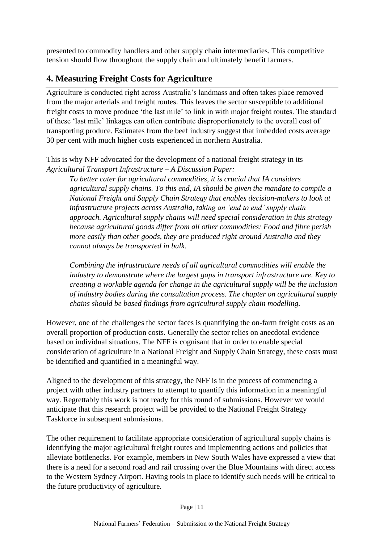presented to commodity handlers and other supply chain intermediaries. This competitive tension should flow throughout the supply chain and ultimately benefit farmers.

#### <span id="page-10-0"></span>**4. Measuring Freight Costs for Agriculture**

Agriculture is conducted right across Australia's landmass and often takes place removed from the major arterials and freight routes. This leaves the sector susceptible to additional freight costs to move produce 'the last mile' to link in with major freight routes. The standard of these 'last mile' linkages can often contribute disproportionately to the overall cost of transporting produce. Estimates from the beef industry suggest that imbedded costs average 30 per cent with much higher costs experienced in northern Australia.

This is why NFF advocated for the development of a national freight strategy in its *Agricultural Transport Infrastructure – A Discussion Paper:*

*To better cater for agricultural commodities, it is crucial that IA considers agricultural supply chains. To this end, IA should be given the mandate to compile a National Freight and Supply Chain Strategy that enables decision-makers to look at infrastructure projects across Australia, taking an 'end to end' supply chain approach. Agricultural supply chains will need special consideration in this strategy because agricultural goods differ from all other commodities: Food and fibre perish more easily than other goods, they are produced right around Australia and they cannot always be transported in bulk.*

*Combining the infrastructure needs of all agricultural commodities will enable the industry to demonstrate where the largest gaps in transport infrastructure are. Key to creating a workable agenda for change in the agricultural supply will be the inclusion of industry bodies during the consultation process. The chapter on agricultural supply chains should be based findings from agricultural supply chain modelling.*

However, one of the challenges the sector faces is quantifying the on-farm freight costs as an overall proportion of production costs. Generally the sector relies on anecdotal evidence based on individual situations. The NFF is cognisant that in order to enable special consideration of agriculture in a National Freight and Supply Chain Strategy, these costs must be identified and quantified in a meaningful way.

Aligned to the development of this strategy, the NFF is in the process of commencing a project with other industry partners to attempt to quantify this information in a meaningful way. Regrettably this work is not ready for this round of submissions. However we would anticipate that this research project will be provided to the National Freight Strategy Taskforce in subsequent submissions.

The other requirement to facilitate appropriate consideration of agricultural supply chains is identifying the major agricultural freight routes and implementing actions and policies that alleviate bottlenecks. For example, members in New South Wales have expressed a view that there is a need for a second road and rail crossing over the Blue Mountains with direct access to the Western Sydney Airport. Having tools in place to identify such needs will be critical to the future productivity of agriculture.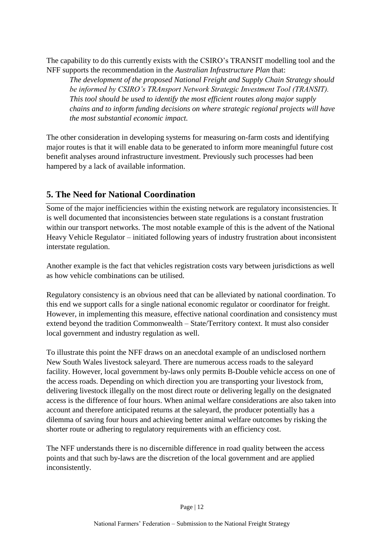The capability to do this currently exists with the CSIRO's TRANSIT modelling tool and the NFF supports the recommendation in the *Australian Infrastructure Plan* that:

*The development of the proposed National Freight and Supply Chain Strategy should be informed by CSIRO's TRAnsport Network Strategic Investment Tool (TRANSIT). This tool should be used to identify the most efficient routes along major supply chains and to inform funding decisions on where strategic regional projects will have the most substantial economic impact.*

The other consideration in developing systems for measuring on-farm costs and identifying major routes is that it will enable data to be generated to inform more meaningful future cost benefit analyses around infrastructure investment. Previously such processes had been hampered by a lack of available information.

#### <span id="page-11-0"></span>**5. The Need for National Coordination**

Some of the major inefficiencies within the existing network are regulatory inconsistencies. It is well documented that inconsistencies between state regulations is a constant frustration within our transport networks. The most notable example of this is the advent of the National Heavy Vehicle Regulator – initiated following years of industry frustration about inconsistent interstate regulation.

Another example is the fact that vehicles registration costs vary between jurisdictions as well as how vehicle combinations can be utilised.

Regulatory consistency is an obvious need that can be alleviated by national coordination. To this end we support calls for a single national economic regulator or coordinator for freight. However, in implementing this measure, effective national coordination and consistency must extend beyond the tradition Commonwealth – State/Territory context. It must also consider local government and industry regulation as well.

To illustrate this point the NFF draws on an anecdotal example of an undisclosed northern New South Wales livestock saleyard. There are numerous access roads to the saleyard facility. However, local government by-laws only permits B-Double vehicle access on one of the access roads. Depending on which direction you are transporting your livestock from, delivering livestock illegally on the most direct route or delivering legally on the designated access is the difference of four hours. When animal welfare considerations are also taken into account and therefore anticipated returns at the saleyard, the producer potentially has a dilemma of saving four hours and achieving better animal welfare outcomes by risking the shorter route or adhering to regulatory requirements with an efficiency cost.

The NFF understands there is no discernible difference in road quality between the access points and that such by-laws are the discretion of the local government and are applied inconsistently.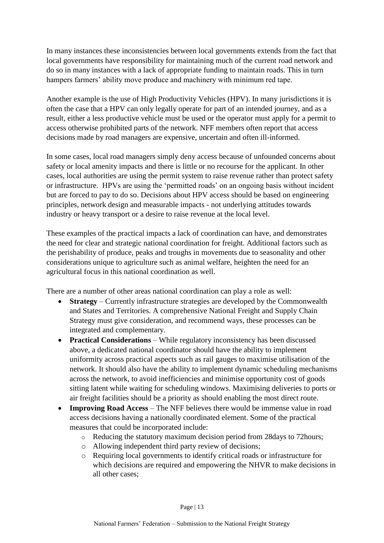In many instances these inconsistencies between local governments extends from the fact that local governments have responsibility for maintaining much of the current road network and do so in many instances with a lack of appropriate funding to maintain roads. This in turn hampers farmers' ability move produce and machinery with minimum red tape.

Another example is the use of High Productivity Vehicles (HPV). In many jurisdictions it is often the case that a HPV can only legally operate for part of an intended journey, and as a result, either a less productive vehicle must be used or the operator must apply for a permit to access otherwise prohibited parts of the network. NFF members often report that access decisions made by road managers are expensive, uncertain and often ill-informed.

In some cases, local road managers simply deny access because of unfounded concerns about safety or local amenity impacts and there is little or no recourse for the applicant. In other cases, local authorities are using the permit system to raise revenue rather than protect safety or infrastructure. HPVs are using the 'permitted roads' on an ongoing basis without incident but are forced to pay to do so. Decisions about HPV access should be based on engineering principles, network design and measurable impacts - not underlying attitudes towards industry or heavy transport or a desire to raise revenue at the local level.

These examples of the practical impacts a lack of coordination can have, and demonstrates the need for clear and strategic national coordination for freight. Additional factors such as the perishability of produce, peaks and troughs in movements due to seasonality and other considerations unique to agriculture such as animal welfare, heighten the need for an agricultural focus in this national coordination as well.

There are a number of other areas national coordination can play a role as well:

- **Strategy** Currently infrastructure strategies are developed by the Commonwealth and States and Territories. A comprehensive National Freight and Supply Chain Strategy must give consideration, and recommend ways, these processes can be integrated and complementary.
- **•** Practical Considerations While regulatory inconsistency has been discussed above, a dedicated national coordinator should have the ability to implement uniformity across practical aspects such as rail gauges to maximise utilisation of the network. It should also have the ability to implement dynamic scheduling mechanisms across the network, to avoid inefficiencies and minimise opportunity cost of goods sitting latent while waiting for scheduling windows. Maximising deliveries to ports or air freight facilities should be a priority as should enabling the most direct route.
- **Improving Road Access**  The NFF believes there would be immense value in road access decisions having a nationally coordinated element. Some of the practical measures that could be incorporated include:
	- o Reducing the statutory maximum decision period from 28days to 72hours;
	- o Allowing independent third party review of decisions;
	- o Requiring local governments to identify critical roads or infrastructure for which decisions are required and empowering the NHVR to make decisions in all other cases;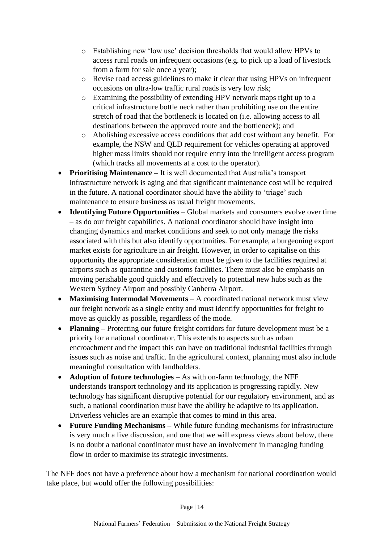- o Establishing new 'low use' decision thresholds that would allow HPVs to access rural roads on infrequent occasions (e.g. to pick up a load of livestock from a farm for sale once a year);
- o Revise road access guidelines to make it clear that using HPVs on infrequent occasions on ultra-low traffic rural roads is very low risk;
- o Examining the possibility of extending HPV network maps right up to a critical infrastructure bottle neck rather than prohibiting use on the entire stretch of road that the bottleneck is located on (i.e. allowing access to all destinations between the approved route and the bottleneck); and
- o Abolishing excessive access conditions that add cost without any benefit. For example, the NSW and QLD requirement for vehicles operating at approved higher mass limits should not require entry into the intelligent access program (which tracks all movements at a cost to the operator).
- **Prioritising Maintenance –** It is well documented that Australia's transport infrastructure network is aging and that significant maintenance cost will be required in the future. A national coordinator should have the ability to 'triage' such maintenance to ensure business as usual freight movements.
- **Identifying Future Opportunities**  Global markets and consumers evolve over time – as do our freight capabilities. A national coordinator should have insight into changing dynamics and market conditions and seek to not only manage the risks associated with this but also identify opportunities. For example, a burgeoning export market exists for agriculture in air freight. However, in order to capitalise on this opportunity the appropriate consideration must be given to the facilities required at airports such as quarantine and customs facilities. There must also be emphasis on moving perishable good quickly and effectively to potential new hubs such as the Western Sydney Airport and possibly Canberra Airport.
- **Maximising Intermodal Movements**  A coordinated national network must view our freight network as a single entity and must identify opportunities for freight to move as quickly as possible, regardless of the mode.
- **Planning** Protecting our future freight corridors for future development must be a priority for a national coordinator. This extends to aspects such as urban encroachment and the impact this can have on traditional industrial facilities through issues such as noise and traffic. In the agricultural context, planning must also include meaningful consultation with landholders.
- **Adoption of future technologies** As with on-farm technology, the NFF understands transport technology and its application is progressing rapidly. New technology has significant disruptive potential for our regulatory environment, and as such, a national coordination must have the ability be adaptive to its application. Driverless vehicles are an example that comes to mind in this area.
- **Future Funding Mechanisms –** While future funding mechanisms for infrastructure is very much a live discussion, and one that we will express views about below, there is no doubt a national coordinator must have an involvement in managing funding flow in order to maximise its strategic investments.

The NFF does not have a preference about how a mechanism for national coordination would take place, but would offer the following possibilities: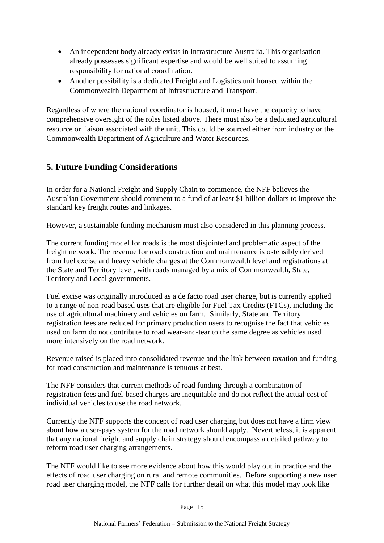- An independent body already exists in Infrastructure Australia. This organisation already possesses significant expertise and would be well suited to assuming responsibility for national coordination.
- Another possibility is a dedicated Freight and Logistics unit housed within the Commonwealth Department of Infrastructure and Transport.

Regardless of where the national coordinator is housed, it must have the capacity to have comprehensive oversight of the roles listed above. There must also be a dedicated agricultural resource or liaison associated with the unit. This could be sourced either from industry or the Commonwealth Department of Agriculture and Water Resources.

#### <span id="page-14-0"></span>**5. Future Funding Considerations**

In order for a National Freight and Supply Chain to commence, the NFF believes the Australian Government should comment to a fund of at least \$1 billion dollars to improve the standard key freight routes and linkages.

However, a sustainable funding mechanism must also considered in this planning process.

The current funding model for roads is the most disjointed and problematic aspect of the freight network. The revenue for road construction and maintenance is ostensibly derived from fuel excise and heavy vehicle charges at the Commonwealth level and registrations at the State and Territory level, with roads managed by a mix of Commonwealth, State, Territory and Local governments.

Fuel excise was originally introduced as a de facto road user charge, but is currently applied to a range of non-road based uses that are eligible for Fuel Tax Credits (FTCs), including the use of agricultural machinery and vehicles on farm. Similarly, State and Territory registration fees are reduced for primary production users to recognise the fact that vehicles used on farm do not contribute to road wear-and-tear to the same degree as vehicles used more intensively on the road network.

Revenue raised is placed into consolidated revenue and the link between taxation and funding for road construction and maintenance is tenuous at best.

The NFF considers that current methods of road funding through a combination of registration fees and fuel-based charges are inequitable and do not reflect the actual cost of individual vehicles to use the road network.

Currently the NFF supports the concept of road user charging but does not have a firm view about how a user-pays system for the road network should apply. Nevertheless, it is apparent that any national freight and supply chain strategy should encompass a detailed pathway to reform road user charging arrangements.

The NFF would like to see more evidence about how this would play out in practice and the effects of road user charging on rural and remote communities. Before supporting a new user road user charging model, the NFF calls for further detail on what this model may look like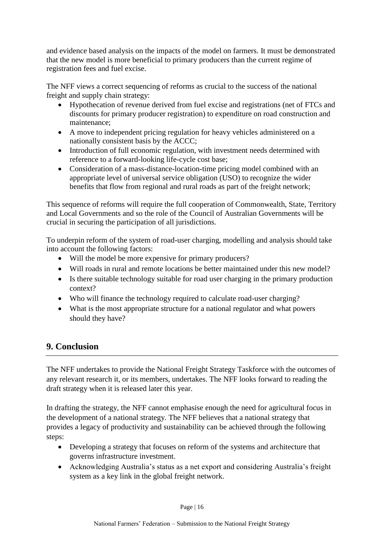and evidence based analysis on the impacts of the model on farmers. It must be demonstrated that the new model is more beneficial to primary producers than the current regime of registration fees and fuel excise.

The NFF views a correct sequencing of reforms as crucial to the success of the national freight and supply chain strategy:

- Hypothecation of revenue derived from fuel excise and registrations (net of FTCs and discounts for primary producer registration) to expenditure on road construction and maintenance;
- A move to independent pricing regulation for heavy vehicles administered on a nationally consistent basis by the ACCC;
- Introduction of full economic regulation, with investment needs determined with reference to a forward-looking life-cycle cost base;
- Consideration of a mass-distance-location-time pricing model combined with an appropriate level of universal service obligation (USO) to recognize the wider benefits that flow from regional and rural roads as part of the freight network;

This sequence of reforms will require the full cooperation of Commonwealth, State, Territory and Local Governments and so the role of the Council of Australian Governments will be crucial in securing the participation of all jurisdictions.

To underpin reform of the system of road-user charging, modelling and analysis should take into account the following factors:

- Will the model be more expensive for primary producers?
- Will roads in rural and remote locations be better maintained under this new model?
- Is there suitable technology suitable for road user charging in the primary production context?
- Who will finance the technology required to calculate road-user charging?
- What is the most appropriate structure for a national regulator and what powers should they have?

#### <span id="page-15-0"></span>**9. Conclusion**

The NFF undertakes to provide the National Freight Strategy Taskforce with the outcomes of any relevant research it, or its members, undertakes. The NFF looks forward to reading the draft strategy when it is released later this year.

In drafting the strategy, the NFF cannot emphasise enough the need for agricultural focus in the development of a national strategy. The NFF believes that a national strategy that provides a legacy of productivity and sustainability can be achieved through the following steps:

- Developing a strategy that focuses on reform of the systems and architecture that governs infrastructure investment.
- Acknowledging Australia's status as a net export and considering Australia's freight system as a key link in the global freight network.